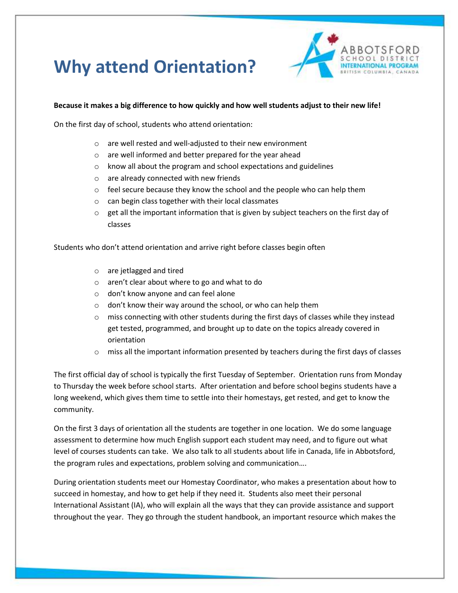## **Why attend Orientation?**



## **Because it makes a big difference to how quickly and how well students adjust to their new life!**

On the first day of school, students who attend orientation:

- o are well rested and well-adjusted to their new environment
- o are well informed and better prepared for the year ahead
- $\circ$  know all about the program and school expectations and guidelines
- o are already connected with new friends
- o feel secure because they know the school and the people who can help them
- o can begin class together with their local classmates
- $\circ$  get all the important information that is given by subject teachers on the first day of classes

Students who don't attend orientation and arrive right before classes begin often

- o are jetlagged and tired
- o aren't clear about where to go and what to do
- o don't know anyone and can feel alone
- o don't know their way around the school, or who can help them
- $\circ$  miss connecting with other students during the first days of classes while they instead get tested, programmed, and brought up to date on the topics already covered in orientation
- $\circ$  miss all the important information presented by teachers during the first days of classes

The first official day of school is typically the first Tuesday of September. Orientation runs from Monday to Thursday the week before school starts. After orientation and before school begins students have a long weekend, which gives them time to settle into their homestays, get rested, and get to know the community.

On the first 3 days of orientation all the students are together in one location. We do some language assessment to determine how much English support each student may need, and to figure out what level of courses students can take. We also talk to all students about life in Canada, life in Abbotsford, the program rules and expectations, problem solving and communication….

During orientation students meet our Homestay Coordinator, who makes a presentation about how to succeed in homestay, and how to get help if they need it. Students also meet their personal International Assistant (IA), who will explain all the ways that they can provide assistance and support throughout the year. They go through the student handbook, an important resource which makes the